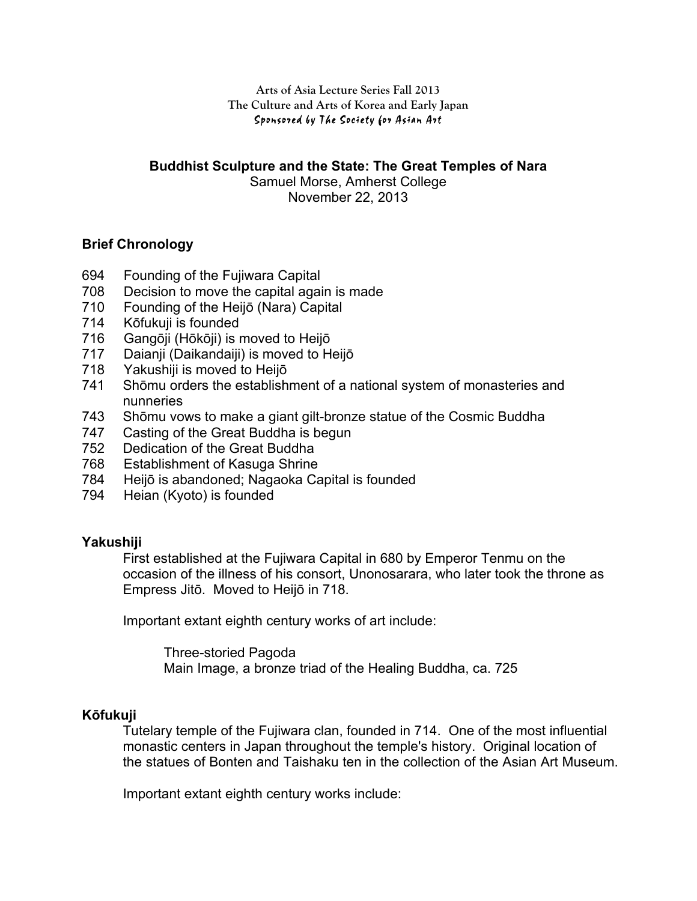#### **Arts of Asia Lecture Series Fall 2013 The Culture and Arts of Korea and Early Japan** Sponsored by The Society for Asian Art

# **Buddhist Sculpture and the State: The Great Temples of Nara** Samuel Morse, Amherst College November 22, 2013

# **Brief Chronology**

- 694 Founding of the Fujiwara Capital
- 708 Decision to move the capital again is made
- 710 Founding of the Heijō (Nara) Capital
- 714 Kōfukuji is founded
- 716 Gangōji (Hōkōji) is moved to Heijō
- 717 Daianji (Daikandaiji) is moved to Heijō
- 718 Yakushiji is moved to Heijō
- 741 Shōmu orders the establishment of a national system of monasteries and nunneries
- 743 Shōmu vows to make a giant gilt-bronze statue of the Cosmic Buddha
- 747 Casting of the Great Buddha is begun
- 752 Dedication of the Great Buddha
- 768 Establishment of Kasuga Shrine
- 784 Heijō is abandoned; Nagaoka Capital is founded
- 794 Heian (Kyoto) is founded

## **Yakushiji**

First established at the Fujiwara Capital in 680 by Emperor Tenmu on the occasion of the illness of his consort, Unonosarara, who later took the throne as Empress Jitō. Moved to Heijō in 718.

Important extant eighth century works of art include:

Three-storied Pagoda Main Image, a bronze triad of the Healing Buddha, ca. 725

## **Kōfukuji**

Tutelary temple of the Fujiwara clan, founded in 714. One of the most influential monastic centers in Japan throughout the temple's history. Original location of the statues of Bonten and Taishaku ten in the collection of the Asian Art Museum.

Important extant eighth century works include: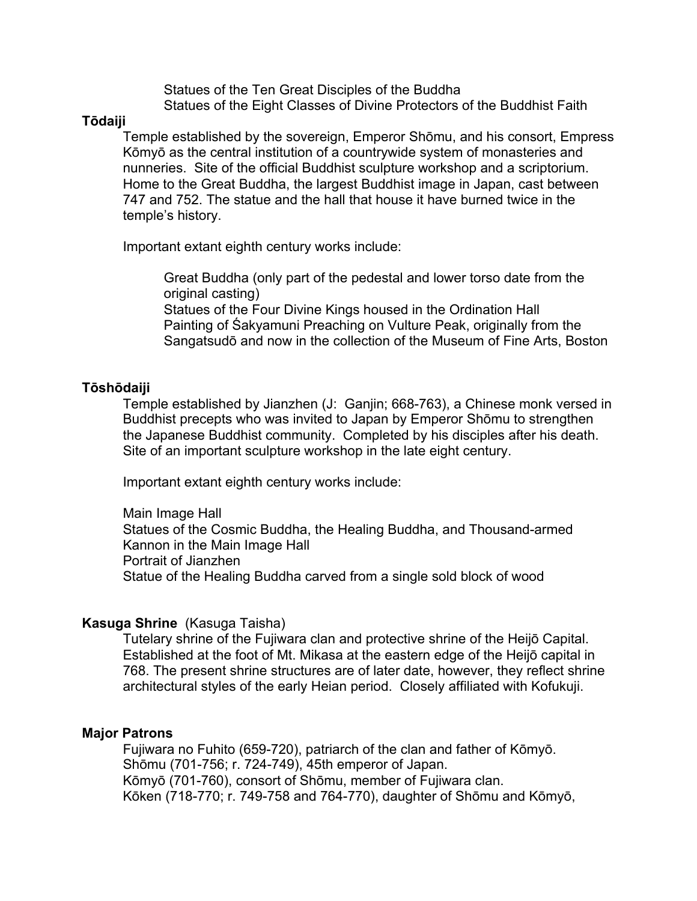Statues of the Ten Great Disciples of the Buddha Statues of the Eight Classes of Divine Protectors of the Buddhist Faith

#### **Tōdaiji**

Temple established by the sovereign, Emperor Shōmu, and his consort, Empress Kōmyō as the central institution of a countrywide system of monasteries and nunneries. Site of the official Buddhist sculpture workshop and a scriptorium. Home to the Great Buddha, the largest Buddhist image in Japan, cast between 747 and 752. The statue and the hall that house it have burned twice in the temple's history.

Important extant eighth century works include:

Great Buddha (only part of the pedestal and lower torso date from the original casting)

Statues of the Four Divine Kings housed in the Ordination Hall Painting of Śakyamuni Preaching on Vulture Peak, originally from the Sangatsudō and now in the collection of the Museum of Fine Arts, Boston

## **Tōshōdaiji**

Temple established by Jianzhen (J: Ganjin; 668-763), a Chinese monk versed in Buddhist precepts who was invited to Japan by Emperor Shōmu to strengthen the Japanese Buddhist community. Completed by his disciples after his death. Site of an important sculpture workshop in the late eight century.

Important extant eighth century works include:

Main Image Hall Statues of the Cosmic Buddha, the Healing Buddha, and Thousand-armed Kannon in the Main Image Hall Portrait of Jianzhen Statue of the Healing Buddha carved from a single sold block of wood

## **Kasuga Shrine** (Kasuga Taisha)

Tutelary shrine of the Fujiwara clan and protective shrine of the Heijō Capital. Established at the foot of Mt. Mikasa at the eastern edge of the Heijō capital in 768. The present shrine structures are of later date, however, they reflect shrine architectural styles of the early Heian period. Closely affiliated with Kofukuji.

## **Major Patrons**

Fujiwara no Fuhito (659-720), patriarch of the clan and father of Kōmyō. Shōmu (701-756; r. 724-749), 45th emperor of Japan. Kōmyō (701-760), consort of Shōmu, member of Fujiwara clan. Kōken (718-770; r. 749-758 and 764-770), daughter of Shōmu and Kōmyō,